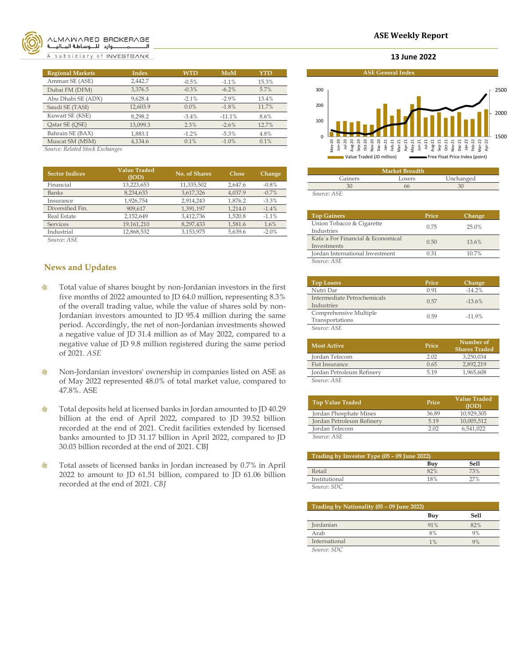

#### *ALMAWARED BROKERAGE* ــــــــــــــــــوارد للـــــوسـاطــة المـــاليـــ

A subsidiary of INVESTBANK

| <b>Regional Markets</b> | <b>Index</b> | <b>WTD</b> | <b>MoM</b> | <b>YTD</b> |
|-------------------------|--------------|------------|------------|------------|
| Amman SE (ASE)          | 2.442.7      | $-0.5%$    | $-1.1%$    | 15.3%      |
| Dubai FM (DFM)          | 3,376.5      | $-0.3%$    | $-6.2%$    | 5.7%       |
| Abu Dhabi SE (ADX)      | 9.628.4      | $-2.1%$    | $-2.9%$    | 13.4%      |
| Saudi SE (TASI)         | 12,603.9     | $0.0\%$    | $-1.8%$    | 11.7%      |
| Kuwait SE (KSE)         | 8,298.2      | $-3.4\%$   | $-11.1%$   | 8.6%       |
| Qatar SE (QSE)          | 13,099.3     | 2.3%       | $-2.6%$    | 12.7%      |
| Bahrain SE (BAX)        | 1.883.1      | $-1.2%$    | $-5.3%$    | 4.8%       |
| Muscat SM (MSM)         | 4,134.6      | 0.1%       | $-1.0%$    | 0.1%       |

*Source: Related Stock Exchanges*

| <b>Sector Indices</b> | <b>Value Traded</b><br>(IOD) | No. of Shares | Close   | Change  |
|-----------------------|------------------------------|---------------|---------|---------|
| Financial             | 13,223,653                   | 11,335,502    | 2.647.6 | $-0.8%$ |
| <b>Banks</b>          | 8,234,633                    | 3,617,326     | 4.037.9 | $-0.7%$ |
| Insurance             | 1,926,754                    | 2.914.243     | 1.876.2 | $-3.3%$ |
| Diversified Fin.      | 909.617                      | 1.391.197     | 1.214.0 | $-1.4%$ |
| <b>Real Estate</b>    | 2,152,649                    | 3,412,736     | 1,520.8 | $-1.1%$ |
| <b>Services</b>       | 19,161,210                   | 8,297,433     | 1,581.6 | 1.6%    |
| Industrial            | 12,868,532                   | 3,153,975     | 5,639.6 | $-2.0%$ |
|                       |                              |               |         |         |

*Source: ASE*

# **News and Updates**

- Total value of shares bought by non-Jordanian investors in the first â. five months of 2022 amounted to JD 64.0 million, representing 8.3% of the overall trading value, while the value of shares sold by non-Jordanian investors amounted to JD 95.4 million during the same period. Accordingly, the net of non-Jordanian investments showed a negative value of JD 31.4 million as of May 2022, compared to a negative value of JD 9.8 million registered during the same period of 2021. *ASE*
- ◎ Non-Jordanian investors' ownership in companies listed on ASE as of May 2022 represented 48.0% of total market value, compared to 47.8%. ASE
- ۰ Total deposits held at licensed banks in Jordan amounted to JD 40.29 billion at the end of April 2022, compared to JD 39.52 billion recorded at the end of 2021. Credit facilities extended by licensed banks amounted to JD 31.17 billion in April 2022, compared to JD 30.03 billion recorded at the end of 2021. CBJ
- 0 Total assets of licensed banks in Jordan increased by 0.7% in April 2022 to amount to JD 61.51 billion, compared to JD 61.06 billion recorded at the end of 2021. *CBJ*

#### **ASE Weekly Report**

#### **13 June 2022**



| <b>Market Breadth</b> |        |           |  |
|-----------------------|--------|-----------|--|
| Gainers               | Losers | Unchanged |  |
|                       |        |           |  |
| Source: ASE           |        |           |  |

| <b>Top Gainers</b>                               | Price | Change |
|--------------------------------------------------|-------|--------|
| Union Tobacco & Cigarette<br>Industries          | 0.75  | 25.0%  |
| Kafa`a For Financial & Economical<br>Investments | 0.50  | 13.6%  |
| Jordan International Investment                  | 0.31  | 10.7%  |
| Source: ASE                                      |       |        |

| <b>Top Losers</b>                         | Price | Change   |
|-------------------------------------------|-------|----------|
| Nutri Dar                                 | O 91  | $-14.2%$ |
| Intermediate Petrochemicals<br>Industries | 0.57  | $-13.6%$ |
| Comprehensive Multiple<br>Transportations | 0.59  | $-11.9%$ |
| Source: ASE                               |       |          |

| <b>Most Active</b>            | Price | Number of<br><b>Shares Traded</b> |
|-------------------------------|-------|-----------------------------------|
| Jordan Telecom                | 2.02  | 3.250.034                         |
| <b>Fist Insurance</b>         | 0.65  | 2.892.219                         |
| Jordan Petroleum Refinery     | 519   | 1,965,608                         |
| $S_{OII}$ rca: $\triangle$ CF |       |                                   |

*Source: ASE*

| <b>Top Value Traded</b>   | Price | <b>Value Traded</b><br>(IOD) |
|---------------------------|-------|------------------------------|
| Jordan Phosphate Mines    | 36.89 | 10.929.305                   |
| Jordan Petroleum Refinery | 519   | 10,005,512                   |
| Jordan Telecom            | 2.02  | 6,541,022                    |
| Source: ASE               |       |                              |

| Trading by Investor Type $(05 - 09)$ June 2022) |     |               |  |
|-------------------------------------------------|-----|---------------|--|
|                                                 | Buv | Sell          |  |
| Retail                                          | 82% | 73%           |  |
| Institutional                                   | 18% | $\frac{1}{2}$ |  |
| Source: SDC                                     |     |               |  |

| Trading by Nationality (05 - 09 June 2022) |     |      |  |
|--------------------------------------------|-----|------|--|
|                                            | Buy | Sell |  |
| Jordanian                                  | 91% | 82%  |  |
| Arab                                       | 8%  | 9%   |  |
| International                              | 1%  | 9%   |  |
| $S_{OIPCO}$ SDC                            |     |      |  |

*Source: SDC*